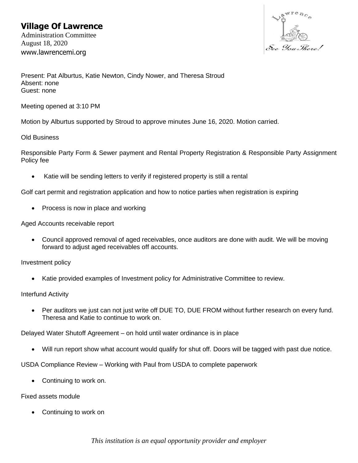# **Village Of Lawrence**

Administration Committee August 18, 2020 www.lawrencemi.org



Present: Pat Alburtus, Katie Newton, Cindy Nower, and Theresa Stroud Absent: none Guest: none

Meeting opened at 3:10 PM

Motion by Alburtus supported by Stroud to approve minutes June 16, 2020. Motion carried.

#### Old Business

Responsible Party Form & Sewer payment and Rental Property Registration & Responsible Party Assignment Policy fee

Katie will be sending letters to verify if registered property is still a rental

Golf cart permit and registration application and how to notice parties when registration is expiring

• Process is now in place and working

Aged Accounts receivable report

• Council approved removal of aged receivables, once auditors are done with audit. We will be moving forward to adjust aged receivables off accounts.

Investment policy

• Katie provided examples of Investment policy for Administrative Committee to review.

Interfund Activity

• Per auditors we just can not just write off DUE TO, DUE FROM without further research on every fund. Theresa and Katie to continue to work on.

Delayed Water Shutoff Agreement – on hold until water ordinance is in place

• Will run report show what account would qualify for shut off. Doors will be tagged with past due notice.

USDA Compliance Review – Working with Paul from USDA to complete paperwork

• Continuing to work on.

#### Fixed assets module

• Continuing to work on